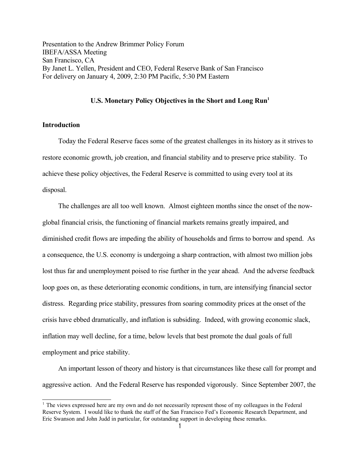Presentation to the Andrew Brimmer Policy Forum IBEFA/ASSA Meeting San Francisco, CA By Janet L. Yellen, President and CEO, Federal Reserve Bank of San Francisco For delivery on January 4, 2009, 2:30 PM Pacific, 5:30 PM Eastern

## **U.S. Monetary Policy Objectives in the Short and Long Run[1](#page-0-0)**

## **Introduction**

Today the Federal Reserve faces some of the greatest challenges in its history as it strives to restore economic growth, job creation, and financial stability and to preserve price stability. To achieve these policy objectives, the Federal Reserve is committed to using every tool at its disposal.

The challenges are all too well known. Almost eighteen months since the onset of the nowglobal financial crisis, the functioning of financial markets remains greatly impaired, and diminished credit flows are impeding the ability of households and firms to borrow and spend. As a consequence, the U.S. economy is undergoing a sharp contraction, with almost two million jobs lost thus far and unemployment poised to rise further in the year ahead. And the adverse feedback loop goes on, as these deteriorating economic conditions, in turn, are intensifying financial sector distress. Regarding price stability, pressures from soaring commodity prices at the onset of the crisis have ebbed dramatically, and inflation is subsiding. Indeed, with growing economic slack, inflation may well decline, for a time, below levels that best promote the dual goals of full employment and price stability.

An important lesson of theory and history is that circumstances like these call for prompt and aggressive action. And the Federal Reserve has responded vigorously. Since September 2007, the

<span id="page-0-0"></span><sup>&</sup>lt;sup>1</sup> The views expressed here are my own and do not necessarily represent those of my colleagues in the Federal Reserve System. I would like to thank the staff of the San Francisco Fed's Economic Research Department, and Eric Swanson and John Judd in particular, for outstanding support in developing these remarks.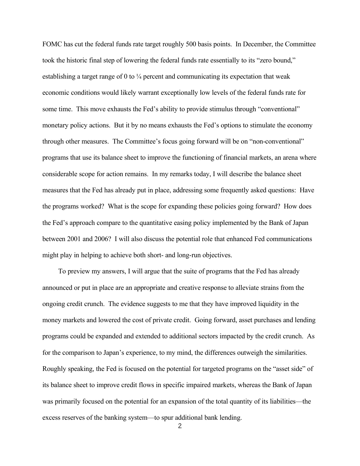FOMC has cut the federal funds rate target roughly 500 basis points. In December, the Committee took the historic final step of lowering the federal funds rate essentially to its "zero bound," establishing a target range of 0 to  $\frac{1}{4}$  percent and communicating its expectation that weak economic conditions would likely warrant exceptionally low levels of the federal funds rate for some time. This move exhausts the Fed's ability to provide stimulus through "conventional" monetary policy actions. But it by no means exhausts the Fed's options to stimulate the economy through other measures. The Committee's focus going forward will be on "non-conventional" programs that use its balance sheet to improve the functioning of financial markets, an arena where considerable scope for action remains. In my remarks today, I will describe the balance sheet measures that the Fed has already put in place, addressing some frequently asked questions: Have the programs worked? What is the scope for expanding these policies going forward? How does the Fed's approach compare to the quantitative easing policy implemented by the Bank of Japan between 2001 and 2006? I will also discuss the potential role that enhanced Fed communications might play in helping to achieve both short- and long-run objectives.

To preview my answers, I will argue that the suite of programs that the Fed has already announced or put in place are an appropriate and creative response to alleviate strains from the ongoing credit crunch. The evidence suggests to me that they have improved liquidity in the money markets and lowered the cost of private credit. Going forward, asset purchases and lending programs could be expanded and extended to additional sectors impacted by the credit crunch. As for the comparison to Japan's experience, to my mind, the differences outweigh the similarities. Roughly speaking, the Fed is focused on the potential for targeted programs on the "asset side" of its balance sheet to improve credit flows in specific impaired markets, whereas the Bank of Japan was primarily focused on the potential for an expansion of the total quantity of its liabilities—the excess reserves of the banking system—to spur additional bank lending.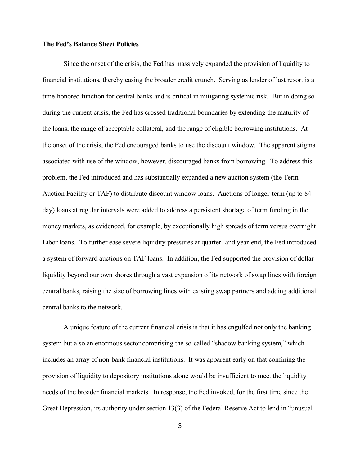#### **The Fed's Balance Sheet Policies**

Since the onset of the crisis, the Fed has massively expanded the provision of liquidity to financial institutions, thereby easing the broader credit crunch. Serving as lender of last resort is a time-honored function for central banks and is critical in mitigating systemic risk. But in doing so during the current crisis, the Fed has crossed traditional boundaries by extending the maturity of the loans, the range of acceptable collateral, and the range of eligible borrowing institutions. At the onset of the crisis, the Fed encouraged banks to use the discount window. The apparent stigma associated with use of the window, however, discouraged banks from borrowing. To address this problem, the Fed introduced and has substantially expanded a new auction system (the Term Auction Facility or TAF) to distribute discount window loans. Auctions of longer-term (up to 84 day) loans at regular intervals were added to address a persistent shortage of term funding in the money markets, as evidenced, for example, by exceptionally high spreads of term versus overnight Libor loans. To further ease severe liquidity pressures at quarter- and year-end, the Fed introduced a system of forward auctions on TAF loans. In addition, the Fed supported the provision of dollar liquidity beyond our own shores through a vast expansion of its network of swap lines with foreign central banks, raising the size of borrowing lines with existing swap partners and adding additional central banks to the network.

A unique feature of the current financial crisis is that it has engulfed not only the banking system but also an enormous sector comprising the so-called "shadow banking system," which includes an array of non-bank financial institutions. It was apparent early on that confining the provision of liquidity to depository institutions alone would be insufficient to meet the liquidity needs of the broader financial markets. In response, the Fed invoked, for the first time since the Great Depression, its authority under section 13(3) of the Federal Reserve Act to lend in "unusual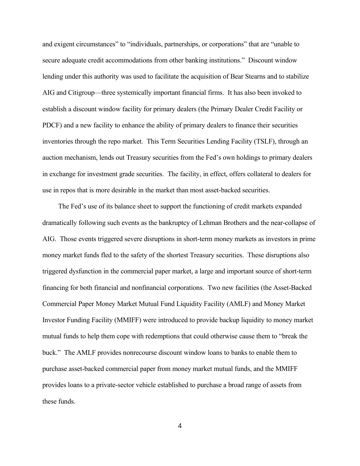and exigent circumstances" to "individuals, partnerships, or corporations" that are "unable to secure adequate credit accommodations from other banking institutions." Discount window lending under this authority was used to facilitate the acquisition of Bear Stearns and to stabilize AIG and Citigroup—three systemically important financial firms. It has also been invoked to establish a discount window facility for primary dealers (the Primary Dealer Credit Facility or PDCF) and a new facility to enhance the ability of primary dealers to finance their securities inventories through the repo market. This Term Securities Lending Facility (TSLF), through an auction mechanism, lends out Treasury securities from the Fed's own holdings to primary dealers in exchange for investment grade securities. The facility, in effect, offers collateral to dealers for use in repos that is more desirable in the market than most asset-backed securities.

The Fed's use of its balance sheet to support the functioning of credit markets expanded dramatically following such events as the bankruptcy of Lehman Brothers and the near-collapse of AIG. Those events triggered severe disruptions in short-term money markets as investors in prime money market funds fled to the safety of the shortest Treasury securities. These disruptions also triggered dysfunction in the commercial paper market, a large and important source of short-term financing for both financial and nonfinancial corporations. Two new facilities (the Asset-Backed Commercial Paper Money Market Mutual Fund Liquidity Facility (AMLF) and Money Market Investor Funding Facility (MMIFF) were introduced to provide backup liquidity to money market mutual funds to help them cope with redemptions that could otherwise cause them to "break the buck." The AMLF provides nonrecourse discount window loans to banks to enable them to purchase asset-backed commercial paper from money market mutual funds, and the MMIFF provides loans to a private-sector vehicle established to purchase a broad range of assets from these funds.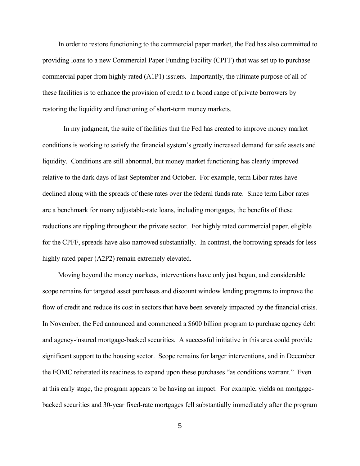In order to restore functioning to the commercial paper market, the Fed has also committed to providing loans to a new Commercial Paper Funding Facility (CPFF) that was set up to purchase commercial paper from highly rated (A1P1) issuers. Importantly, the ultimate purpose of all of these facilities is to enhance the provision of credit to a broad range of private borrowers by restoring the liquidity and functioning of short-term money markets.

In my judgment, the suite of facilities that the Fed has created to improve money market conditions is working to satisfy the financial system's greatly increased demand for safe assets and liquidity. Conditions are still abnormal, but money market functioning has clearly improved relative to the dark days of last September and October. For example, term Libor rates have declined along with the spreads of these rates over the federal funds rate. Since term Libor rates are a benchmark for many adjustable-rate loans, including mortgages, the benefits of these reductions are rippling throughout the private sector. For highly rated commercial paper, eligible for the CPFF, spreads have also narrowed substantially. In contrast, the borrowing spreads for less highly rated paper (A2P2) remain extremely elevated.

Moving beyond the money markets, interventions have only just begun, and considerable scope remains for targeted asset purchases and discount window lending programs to improve the flow of credit and reduce its cost in sectors that have been severely impacted by the financial crisis. In November, the Fed announced and commenced a \$600 billion program to purchase agency debt and agency-insured mortgage-backed securities. A successful initiative in this area could provide significant support to the housing sector. Scope remains for larger interventions, and in December the FOMC reiterated its readiness to expand upon these purchases "as conditions warrant." Even at this early stage, the program appears to be having an impact. For example, yields on mortgagebacked securities and 30-year fixed-rate mortgages fell substantially immediately after the program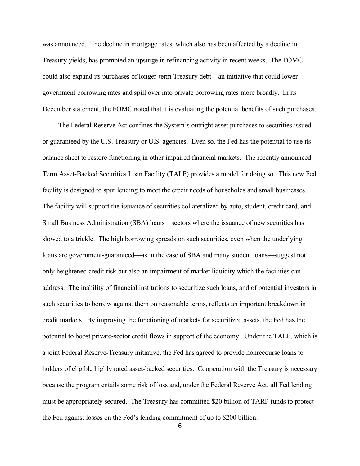was announced. The decline in mortgage rates, which also has been affected by a decline in Treasury yields, has prompted an upsurge in refinancing activity in recent weeks. The FOMC could also expand its purchases of longer-term Treasury debt—an initiative that could lower government borrowing rates and spill over into private borrowing rates more broadly. In its December statement, the FOMC noted that it is evaluating the potential benefits of such purchases.

The Federal Reserve Act confines the System's outright asset purchases to securities issued or guaranteed by the U.S. Treasury or U.S. agencies. Even so, the Fed has the potential to use its balance sheet to restore functioning in other impaired financial markets. The recently announced Term Asset-Backed Securities Loan Facility (TALF) provides a model for doing so. This new Fed facility is designed to spur lending to meet the credit needs of households and small businesses. The facility will support the issuance of securities collateralized by auto, student, credit card, and Small Business Administration (SBA) loans—sectors where the issuance of new securities has slowed to a trickle. The high borrowing spreads on such securities, even when the underlying loans are government-guaranteed—as in the case of SBA and many student loans—suggest not only heightened credit risk but also an impairment of market liquidity which the facilities can address. The inability of financial institutions to securitize such loans, and of potential investors in such securities to borrow against them on reasonable terms, reflects an important breakdown in credit markets. By improving the functioning of markets for securitized assets, the Fed has the potential to boost private-sector credit flows in support of the economy. Under the TALF, which is a joint Federal Reserve-Treasury initiative, the Fed has agreed to provide nonrecourse loans to holders of eligible highly rated asset-backed securities. Cooperation with the Treasury is necessary because the program entails some risk of loss and, under the Federal Reserve Act, all Fed lending must be appropriately secured. The Treasury has committed \$20 billion of TARP funds to protect the Fed against losses on the Fed's lending commitment of up to \$200 billion.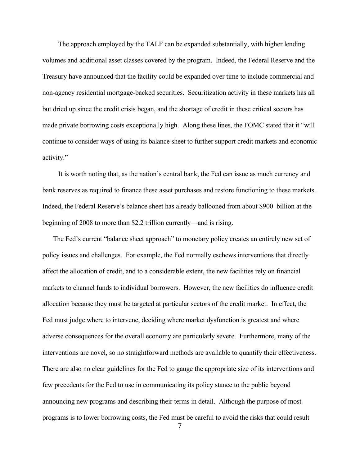The approach employed by the TALF can be expanded substantially, with higher lending volumes and additional asset classes covered by the program. Indeed, the Federal Reserve and the Treasury have announced that the facility could be expanded over time to include commercial and non-agency residential mortgage-backed securities. Securitization activity in these markets has all but dried up since the credit crisis began, and the shortage of credit in these critical sectors has made private borrowing costs exceptionally high. Along these lines, the FOMC stated that it "will continue to consider ways of using its balance sheet to further support credit markets and economic activity."

It is worth noting that, as the nation's central bank, the Fed can issue as much currency and bank reserves as required to finance these asset purchases and restore functioning to these markets. Indeed, the Federal Reserve's balance sheet has already ballooned from about \$900 billion at the beginning of 2008 to more than \$2.2 trillion currently—and is rising.

The Fed's current "balance sheet approach" to monetary policy creates an entirely new set of policy issues and challenges. For example, the Fed normally eschews interventions that directly affect the allocation of credit, and to a considerable extent, the new facilities rely on financial markets to channel funds to individual borrowers. However, the new facilities do influence credit allocation because they must be targeted at particular sectors of the credit market. In effect, the Fed must judge where to intervene, deciding where market dysfunction is greatest and where adverse consequences for the overall economy are particularly severe. Furthermore, many of the interventions are novel, so no straightforward methods are available to quantify their effectiveness. There are also no clear guidelines for the Fed to gauge the appropriate size of its interventions and few precedents for the Fed to use in communicating its policy stance to the public beyond announcing new programs and describing their terms in detail. Although the purpose of most programs is to lower borrowing costs, the Fed must be careful to avoid the risks that could result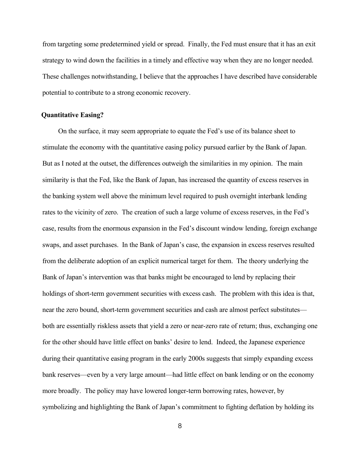from targeting some predetermined yield or spread. Finally, the Fed must ensure that it has an exit strategy to wind down the facilities in a timely and effective way when they are no longer needed. These challenges notwithstanding, I believe that the approaches I have described have considerable potential to contribute to a strong economic recovery.

## **Quantitative Easing?**

On the surface, it may seem appropriate to equate the Fed's use of its balance sheet to stimulate the economy with the quantitative easing policy pursued earlier by the Bank of Japan. But as I noted at the outset, the differences outweigh the similarities in my opinion. The main similarity is that the Fed, like the Bank of Japan, has increased the quantity of excess reserves in the banking system well above the minimum level required to push overnight interbank lending rates to the vicinity of zero. The creation of such a large volume of excess reserves, in the Fed's case, results from the enormous expansion in the Fed's discount window lending, foreign exchange swaps, and asset purchases. In the Bank of Japan's case, the expansion in excess reserves resulted from the deliberate adoption of an explicit numerical target for them. The theory underlying the Bank of Japan's intervention was that banks might be encouraged to lend by replacing their holdings of short-term government securities with excess cash. The problem with this idea is that, near the zero bound, short-term government securities and cash are almost perfect substitutes both are essentially riskless assets that yield a zero or near-zero rate of return; thus, exchanging one for the other should have little effect on banks' desire to lend. Indeed, the Japanese experience during their quantitative easing program in the early 2000s suggests that simply expanding excess bank reserves—even by a very large amount—had little effect on bank lending or on the economy more broadly. The policy may have lowered longer-term borrowing rates, however, by symbolizing and highlighting the Bank of Japan's commitment to fighting deflation by holding its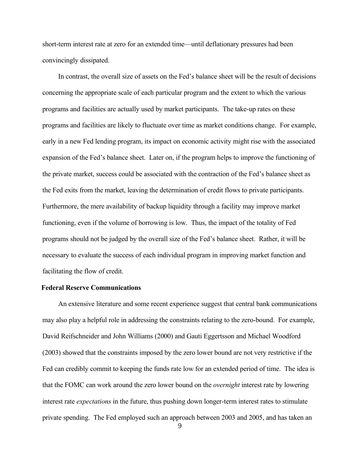short-term interest rate at zero for an extended time—until deflationary pressures had been convincingly dissipated.

In contrast, the overall size of assets on the Fed's balance sheet will be the result of decisions concerning the appropriate scale of each particular program and the extent to which the various programs and facilities are actually used by market participants. The take-up rates on these programs and facilities are likely to fluctuate over time as market conditions change. For example, early in a new Fed lending program, its impact on economic activity might rise with the associated expansion of the Fed's balance sheet. Later on, if the program helps to improve the functioning of the private market, success could be associated with the contraction of the Fed's balance sheet as the Fed exits from the market, leaving the determination of credit flows to private participants. Furthermore, the mere availability of backup liquidity through a facility may improve market functioning, even if the volume of borrowing is low. Thus, the impact of the totality of Fed programs should not be judged by the overall size of the Fed's balance sheet. Rather, it will be necessary to evaluate the success of each individual program in improving market function and facilitating the flow of credit.

#### **Federal Reserve Communications**

An extensive literature and some recent experience suggest that central bank communications may also play a helpful role in addressing the constraints relating to the zero-bound. For example, David Reifschneider and John Williams (2000) and Gauti Eggertsson and Michael Woodford (2003) showed that the constraints imposed by the zero lower bound are not very restrictive if the Fed can credibly commit to keeping the funds rate low for an extended period of time. The idea is that the FOMC can work around the zero lower bound on the *overnight* interest rate by lowering interest rate *expectations* in the future, thus pushing down longer-term interest rates to stimulate private spending. The Fed employed such an approach between 2003 and 2005, and has taken an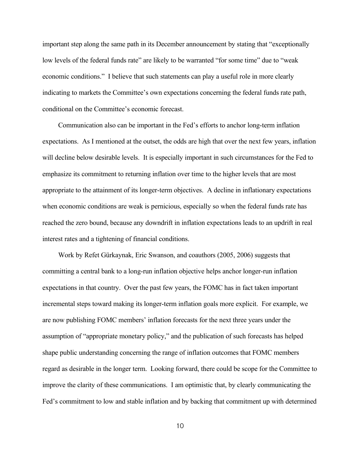important step along the same path in its December announcement by stating that "exceptionally low levels of the federal funds rate" are likely to be warranted "for some time" due to "weak" economic conditions." I believe that such statements can play a useful role in more clearly indicating to markets the Committee's own expectations concerning the federal funds rate path, conditional on the Committee's economic forecast.

Communication also can be important in the Fed's efforts to anchor long-term inflation expectations. As I mentioned at the outset, the odds are high that over the next few years, inflation will decline below desirable levels. It is especially important in such circumstances for the Fed to emphasize its commitment to returning inflation over time to the higher levels that are most appropriate to the attainment of its longer-term objectives. A decline in inflationary expectations when economic conditions are weak is pernicious, especially so when the federal funds rate has reached the zero bound, because any downdrift in inflation expectations leads to an updrift in real interest rates and a tightening of financial conditions.

Work by Refet Gürkaynak, Eric Swanson, and coauthors (2005, 2006) suggests that committing a central bank to a long-run inflation objective helps anchor longer-run inflation expectations in that country. Over the past few years, the FOMC has in fact taken important incremental steps toward making its longer-term inflation goals more explicit. For example, we are now publishing FOMC members' inflation forecasts for the next three years under the assumption of "appropriate monetary policy," and the publication of such forecasts has helped shape public understanding concerning the range of inflation outcomes that FOMC members regard as desirable in the longer term. Looking forward, there could be scope for the Committee to improve the clarity of these communications. I am optimistic that, by clearly communicating the Fed's commitment to low and stable inflation and by backing that commitment up with determined